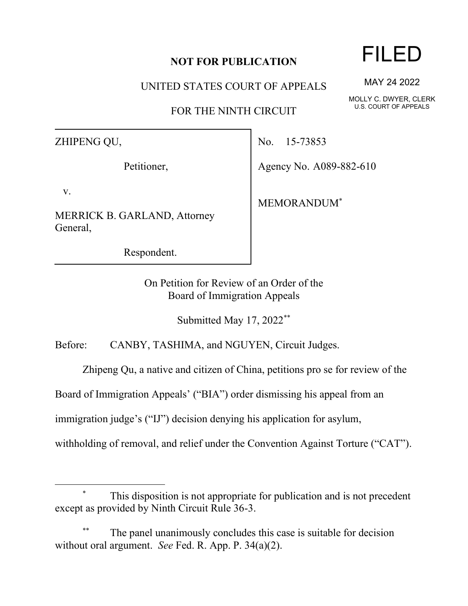## **NOT FOR PUBLICATION**

UNITED STATES COURT OF APPEALS

FOR THE NINTH CIRCUIT

ZHIPENG QU,

Petitioner,

v.

MERRICK B. GARLAND, Attorney General,

Respondent.

No. 15-73853

Agency No. A089-882-610

MEMORANDUM\*

On Petition for Review of an Order of the Board of Immigration Appeals

Submitted May 17, 2022\*\*

Before: CANBY, TASHIMA, and NGUYEN, Circuit Judges.

Zhipeng Qu, a native and citizen of China, petitions pro se for review of the

Board of Immigration Appeals' ("BIA") order dismissing his appeal from an

immigration judge's ("IJ") decision denying his application for asylum,

withholding of removal, and relief under the Convention Against Torture ("CAT").

## This disposition is not appropriate for publication and is not precedent except as provided by Ninth Circuit Rule 36-3.

The panel unanimously concludes this case is suitable for decision without oral argument. *See* Fed. R. App. P. 34(a)(2).

## FILED

MAY 24 2022

MOLLY C. DWYER, CLERK U.S. COURT OF APPEALS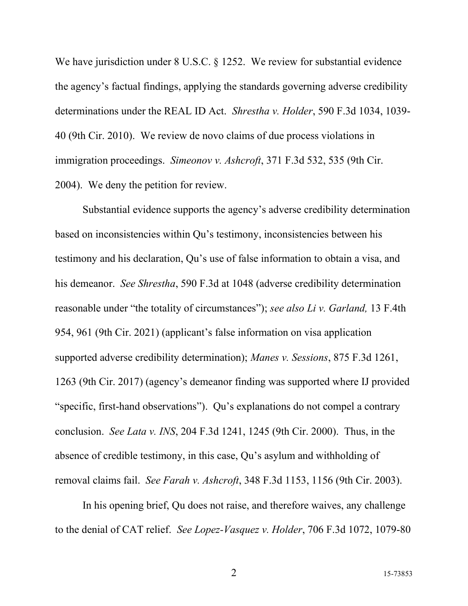We have jurisdiction under 8 U.S.C. § 1252. We review for substantial evidence the agency's factual findings, applying the standards governing adverse credibility determinations under the REAL ID Act. *Shrestha v. Holder*, 590 F.3d 1034, 1039- 40 (9th Cir. 2010). We review de novo claims of due process violations in immigration proceedings. *Simeonov v. Ashcroft*, 371 F.3d 532, 535 (9th Cir. 2004). We deny the petition for review.

Substantial evidence supports the agency's adverse credibility determination based on inconsistencies within Qu's testimony, inconsistencies between his testimony and his declaration, Qu's use of false information to obtain a visa, and his demeanor. *See Shrestha*, 590 F.3d at 1048 (adverse credibility determination reasonable under "the totality of circumstances"); *see also Li v. Garland,* 13 F.4th 954, 961 (9th Cir. 2021) (applicant's false information on visa application supported adverse credibility determination); *Manes v. Sessions*, 875 F.3d 1261, 1263 (9th Cir. 2017) (agency's demeanor finding was supported where IJ provided "specific, first-hand observations"). Qu's explanations do not compel a contrary conclusion. *See Lata v. INS*, 204 F.3d 1241, 1245 (9th Cir. 2000). Thus, in the absence of credible testimony, in this case, Qu's asylum and withholding of removal claims fail. *See Farah v. Ashcroft*, 348 F.3d 1153, 1156 (9th Cir. 2003).

In his opening brief, Qu does not raise, and therefore waives, any challenge to the denial of CAT relief. *See Lopez-Vasquez v. Holder*, 706 F.3d 1072, 1079-80